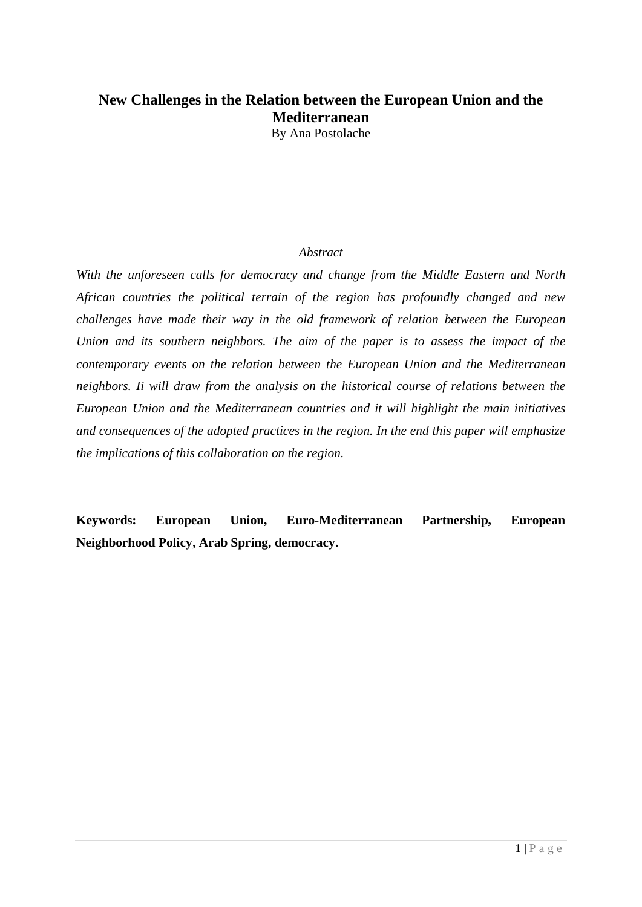# **New Challenges in the Relation between the European Union and the Mediterranean**

By Ana Postolache

## *Abstract*

*With the unforeseen calls for democracy and change from the Middle Eastern and North African countries the political terrain of the region has profoundly changed and new challenges have made their way in the old framework of relation between the European Union and its southern neighbors. The aim of the paper is to assess the impact of the contemporary events on the relation between the European Union and the Mediterranean neighbors. Ii will draw from the analysis on the historical course of relations between the European Union and the Mediterranean countries and it will highlight the main initiatives and consequences of the adopted practices in the region. In the end this paper will emphasize the implications of this collaboration on the region.*

<span id="page-0-0"></span>**Keywords: European Union, Euro-Mediterranean Partnership, European Neighborhood Policy, Arab Spring, democracy.**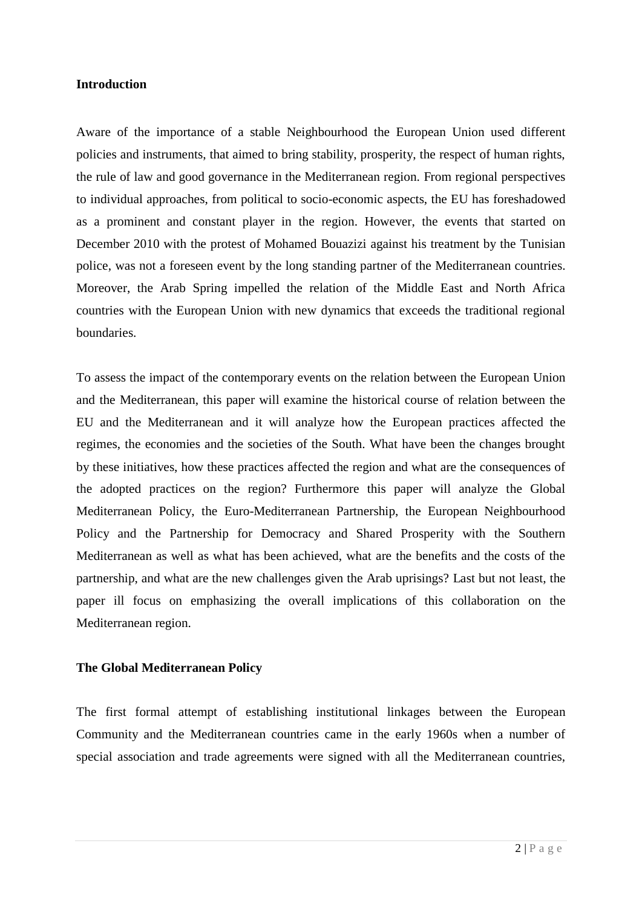#### **Introduction**

Aware of the importance of a stable Neighbourhood the European Union used different policies and instruments, that aimed to bring stability, prosperity, the respect of human rights, the rule of law and good governance in the Mediterranean region. From regional perspectives to individual approaches, from political to socio-economic aspects, the EU has foreshadowed as a prominent and constant player in the region. However, the events that started on December 2010 with the protest of Mohamed Bouazizi against his treatment by the Tunisian police, was not a foreseen event by the long standing partner of the Mediterranean countries. Moreover, the Arab Spring impelled the relation of the Middle East and North Africa countries with the European Union with new dynamics that exceeds the traditional regional boundaries.

To assess the impact of the contemporary events on the relation between the European Union and the Mediterranean, this paper will examine the historical course of relation between the EU and the Mediterranean and it will analyze how the European practices affected the regimes, the economies and the societies of the South. What have been the changes brought by these initiatives, how these practices affected the region and what are the consequences of the adopted practices on the region? Furthermore this paper will analyze the Global Mediterranean Policy, the Euro-Mediterranean Partnership, the European Neighbourhood Policy and the Partnership for Democracy and Shared Prosperity with the Southern Mediterranean as well as what has been achieved, what are the benefits and the costs of the partnership, and what are the new challenges given the Arab uprisings? Last but not least, the paper ill focus on emphasizing the overall implications of this collaboration on the Mediterranean region.

### **The Global Mediterranean Policy**

The first formal attempt of establishing institutional linkages between the European Community and the Mediterranean countries came in the early 1960s when a number of special association and trade agreements were signed with all the Mediterranean countries,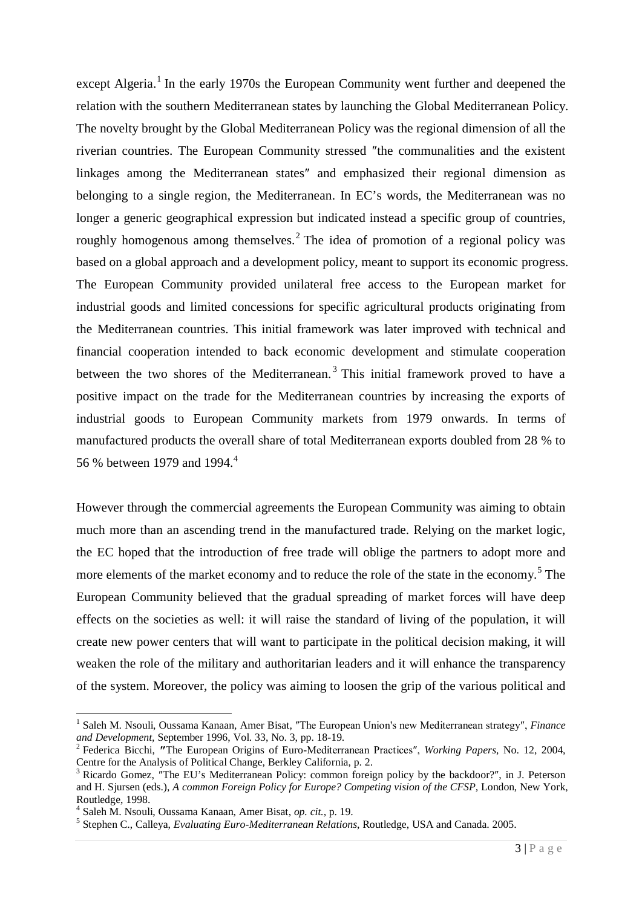except Algeria.<sup>[1](#page-0-0)</sup> In the early 1970s the European Community went further and deepened the relation with the southern Mediterranean states by launching the Global Mediterranean Policy. The novelty brought by the Global Mediterranean Policy was the regional dimension of all the riverian countries. The European Community stressed ″the communalities and the existent linkages among the Mediterranean states″ and emphasized their regional dimension as belonging to a single region, the Mediterranean. In EC's words, the Mediterranean was no longer a generic geographical expression but indicated instead a specific group of countries, roughly homogenous among themselves.<sup>[2](#page-2-0)</sup> The idea of promotion of a regional policy was based on a global approach and a development policy, meant to support its economic progress. The European Community provided unilateral free access to the European market for industrial goods and limited concessions for specific agricultural products originating from the Mediterranean countries. This initial framework was later improved with technical and financial cooperation intended to back economic development and stimulate cooperation between the two shores of the Mediterranean.<sup>[3](#page-2-1)</sup> This initial framework proved to have a positive impact on the trade for the Mediterranean countries by increasing the exports of industrial goods to European Community markets from 1979 onwards. In terms of manufactured products the overall share of total Mediterranean exports doubled from 28 % to 56 % between 1979 and 199[4](#page-2-2).<sup>4</sup>

However through the commercial agreements the European Community was aiming to obtain much more than an ascending trend in the manufactured trade. Relying on the market logic, the EC hoped that the introduction of free trade will oblige the partners to adopt more and more elements of the market economy and to reduce the role of the state in the economy.<sup>[5](#page-2-3)</sup> The European Community believed that the gradual spreading of market forces will have deep effects on the societies as well: it will raise the standard of living of the population, it will create new power centers that will want to participate in the political decision making, it will weaken the role of the military and authoritarian leaders and it will enhance the transparency of the system. Moreover, the policy was aiming to loosen the grip of the various political and

<sup>&</sup>lt;sup>1</sup> Saleh M. Nsouli, Oussama Kanaan, Amer Bisat, "The European Union's new Mediterranean strategy", *Finance* and Development. September 1996, Vol. 33, No. 3, pp. 18-19.

<span id="page-2-0"></span><sup>&</sup>lt;sup>2</sup> Federica Bicchi, "The European Origins of Euro-Mediterranean Practices", *Working Papers*, No. 12, 2004, Centre for the Analysis of Political Change, Berkley California, p. 2.

<span id="page-2-4"></span><span id="page-2-1"></span><sup>3</sup> Ricardo Gomez, ″The EU's Mediterranean Policy: common foreign policy by the backdoor?″, in J. Peterson and H. Sjursen (eds.), *A common Foreign Policy for Europe? Competing vision of the CFSP*, London, New York, Routledge, 1998.

<span id="page-2-2"></span><sup>4</sup> Saleh M. Nsouli, Oussama Kanaan, Amer Bisat, *op. cit.,* p. 19.

<span id="page-2-3"></span><sup>5</sup> Stephen C., Calleya, *Evaluating Euro-Mediterranean Relations*, Routledge, USA and Canada. 2005.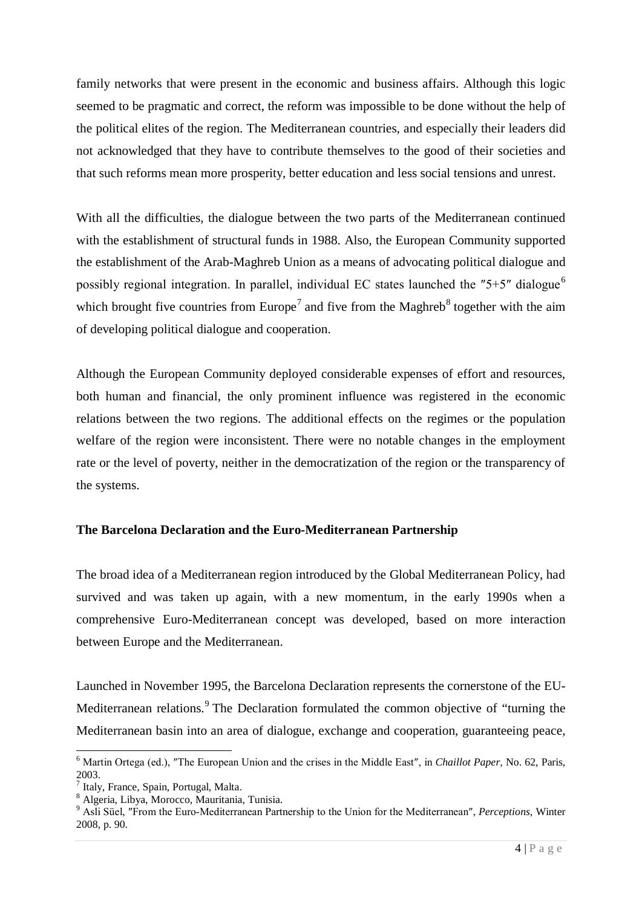family networks that were present in the economic and business affairs. Although this logic seemed to be pragmatic and correct, the reform was impossible to be done without the help of the political elites of the region. The Mediterranean countries, and especially their leaders did not acknowledged that they have to contribute themselves to the good of their societies and that such reforms mean more prosperity, better education and less social tensions and unrest.

With all the difficulties, the dialogue between the two parts of the Mediterranean continued with the establishment of structural funds in 1988. Also, the European Community supported the establishment of the Arab-Maghreb Union as a means of advocating political dialogue and possibly regional integration. In parallel, individual EC states launched the "5+5" dialogue<sup>[6](#page-2-4)</sup> which brought five countries from Europe<sup>[7](#page-3-0)</sup> and five from the Maghreb<sup>[8](#page-3-1)</sup> together with the aim of developing political dialogue and cooperation.

Although the European Community deployed considerable expenses of effort and resources, both human and financial, the only prominent influence was registered in the economic relations between the two regions. The additional effects on the regimes or the population welfare of the region were inconsistent. There were no notable changes in the employment rate or the level of poverty, neither in the democratization of the region or the transparency of the systems.

# **The Barcelona Declaration and the Euro-Mediterranean Partnership**

The broad idea of a Mediterranean region introduced by the Global Mediterranean Policy, had survived and was taken up again, with a new momentum, in the early 1990s when a comprehensive Euro-Mediterranean concept was developed, based on more interaction between Europe and the Mediterranean.

Launched in November 1995, the Barcelona Declaration represents the cornerstone of the EU-Mediterranean relations.<sup>[9](#page-3-2)</sup> The Declaration formulated the common objective of "turning the Mediterranean basin into an area of dialogue, exchange and cooperation, guaranteeing peace,

<span id="page-3-3"></span> <sup>6</sup> Martin Ortega (ed.), ″The European Union and the crises in the Middle East″, in *Chaillot Paper,* No. 62, Paris, 2003.

<span id="page-3-0"></span>Italy, France, Spain, Portugal, Malta.

<span id="page-3-1"></span><sup>8</sup> Algeria, Libya, Morocco, Mauritania, Tunisia.

<span id="page-3-2"></span><sup>9</sup> Asli Süel, ″From the Euro-Mediterranean Partnership to the Union for the Mediterranean″, *Perceptions,* Winter 2008, p. 90.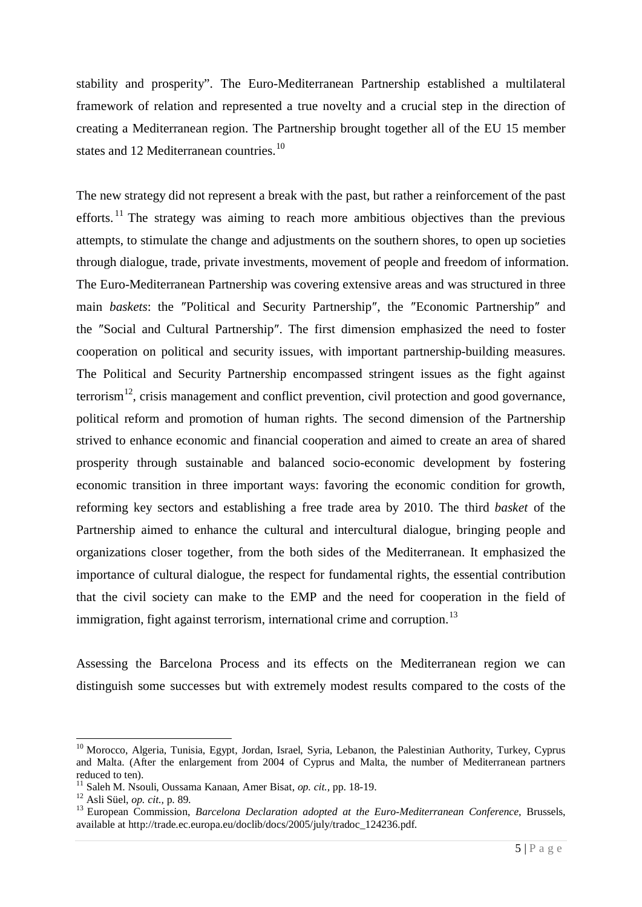stability and prosperity". The Euro-Mediterranean Partnership established a multilateral framework of relation and represented a true novelty and a crucial step in the direction of creating a Mediterranean region. The Partnership brought together all of the EU 15 member states and 12 Mediterranean countries.<sup>[10](#page-3-3)</sup>

The new strategy did not represent a break with the past, but rather a reinforcement of the past efforts.<sup>[11](#page-4-0)</sup> The strategy was aiming to reach more ambitious objectives than the previous attempts, to stimulate the change and adjustments on the southern shores, to open up societies through dialogue, trade, private investments, movement of people and freedom of information. The Euro-Mediterranean Partnership was covering extensive areas and was structured in three main *baskets*: the ″Political and Security Partnership″, the ″Economic Partnership″ and the ″Social and Cultural Partnership″. The first dimension emphasized the need to foster cooperation on political and security issues, with important partnership-building measures. The Political and Security Partnership encompassed stringent issues as the fight against terrorism<sup>[12](#page-4-1)</sup>, crisis management and conflict prevention, civil protection and good governance, political reform and promotion of human rights. The second dimension of the Partnership strived to enhance economic and financial cooperation and aimed to create an area of shared prosperity through sustainable and balanced socio-economic development by fostering economic transition in three important ways: favoring the economic condition for growth, reforming key sectors and establishing a free trade area by 2010. The third *basket* of the Partnership aimed to enhance the cultural and intercultural dialogue, bringing people and organizations closer together, from the both sides of the Mediterranean. It emphasized the importance of cultural dialogue, the respect for fundamental rights, the essential contribution that the civil society can make to the EMP and the need for cooperation in the field of immigration, fight against terrorism, international crime and corruption.<sup>[13](#page-4-2)</sup>

Assessing the Barcelona Process and its effects on the Mediterranean region we can distinguish some successes but with extremely modest results compared to the costs of the

<span id="page-4-3"></span><sup>&</sup>lt;sup>10</sup> Morocco, Algeria, Tunisia, Egypt, Jordan, Israel, Syria, Lebanon, the Palestinian Authority, Turkey, Cyprus and Malta. (After the enlargement from 2004 of Cyprus and Malta, the number of Mediterranean partners reduced to ten).

<span id="page-4-0"></span><sup>11</sup> Saleh M. Nsouli, Oussama Kanaan, Amer Bisat, *op. cit.,* pp. 18-19. <sup>12</sup> Asli Süel, *op. cit.,* p. 89.

<span id="page-4-1"></span>

<span id="page-4-2"></span><sup>&</sup>lt;sup>13</sup> European Commission, *Barcelona Declaration adopted at the Euro-Mediterranean Conference*, Brussels, available at [http://trade.ec.europa.eu/doclib/docs/2005/july/tradoc\\_124236.pdf.](http://trade.ec.europa.eu/doclib/docs/2005/july/tradoc_124236.pdf)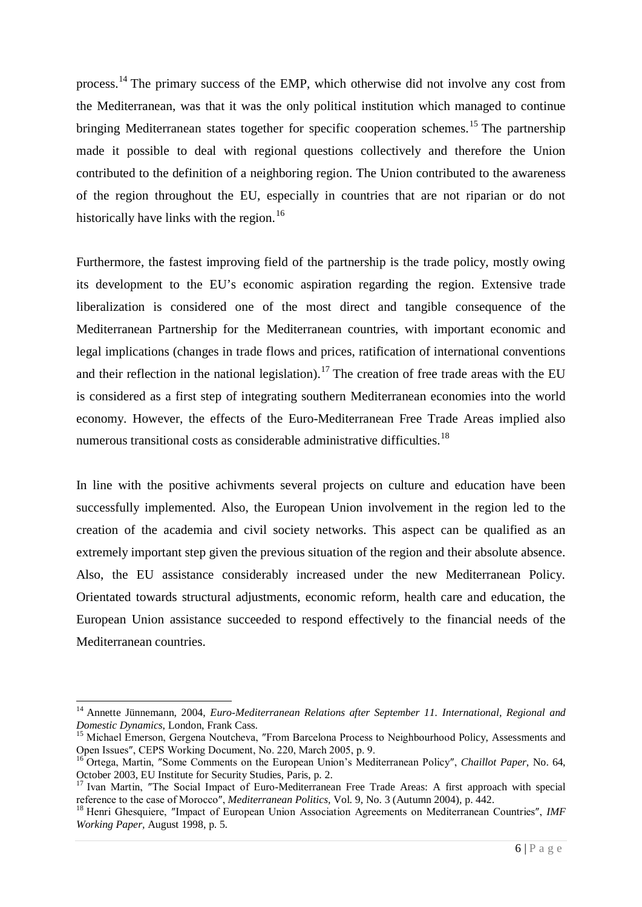process.<sup>[14](#page-4-3)</sup> The primary success of the EMP, which otherwise did not involve any cost from the Mediterranean, was that it was the only political institution which managed to continue bringing Mediterranean states together for specific cooperation schemes.<sup>[15](#page-5-0)</sup> The partnership made it possible to deal with regional questions collectively and therefore the Union contributed to the definition of a neighboring region. The Union contributed to the awareness of the region throughout the EU, especially in countries that are not riparian or do not historically have links with the region.<sup>[16](#page-5-1)</sup>

Furthermore, the fastest improving field of the partnership is the trade policy, mostly owing its development to the EU's economic aspiration regarding the region. Extensive trade liberalization is considered one of the most direct and tangible consequence of the Mediterranean Partnership for the Mediterranean countries, with important economic and legal implications (changes in trade flows and prices, ratification of international conventions and their reflection in the national legislation).<sup>[17](#page-5-2)</sup> The creation of free trade areas with the EU is considered as a first step of integrating southern Mediterranean economies into the world economy. However, the effects of the Euro-Mediterranean Free Trade Areas implied also numerous transitional costs as considerable administrative difficulties.<sup>[18](#page-5-3)</sup>

In line with the positive achivments several projects on culture and education have been successfully implemented. Also, the European Union involvement in the region led to the creation of the academia and civil society networks. This aspect can be qualified as an extremely important step given the previous situation of the region and their absolute absence. Also, the EU assistance considerably increased under the new Mediterranean Policy. Orientated towards structural adjustments, economic reform, health care and education, the European Union assistance succeeded to respond effectively to the financial needs of the Mediterranean countries.

 <sup>14</sup> Annette Jünnemann, 2004, *Euro-Mediterranean Relations after September 11. International, Regional and Domestic Dynamics*, London, Frank Cass.

<span id="page-5-0"></span><sup>&</sup>lt;sup>15</sup> Michael Emerson, Gergena Noutcheva, "From Barcelona Process to Neighbourhood Policy, Assessments and Open Issues″, CEPS Working Document, No. 220, March 2005, p. 9.

<span id="page-5-1"></span><sup>16</sup> Ortega, Martin, ″Some Comments on the European Union's Mediterranean Policy″, *Chaillot Paper*, No. 64, October 2003, EU Institute for Security Studies, Paris, p. 2.

<span id="page-5-2"></span><sup>&</sup>lt;sup>17</sup> Ivan Martin, "The Social Impact of Euro-Mediterranean Free Trade Areas: A first approach with special reference to the case of Morocco″, *Mediterranean Politics,* Vol. 9, No. 3 (Autumn 2004), p. 442.

<span id="page-5-3"></span><sup>18</sup> Henri Ghesquiere, ″Impact of European Union Association Agreements on Mediterranean Countries″, *IMF Working Paper,* August 1998, p. 5.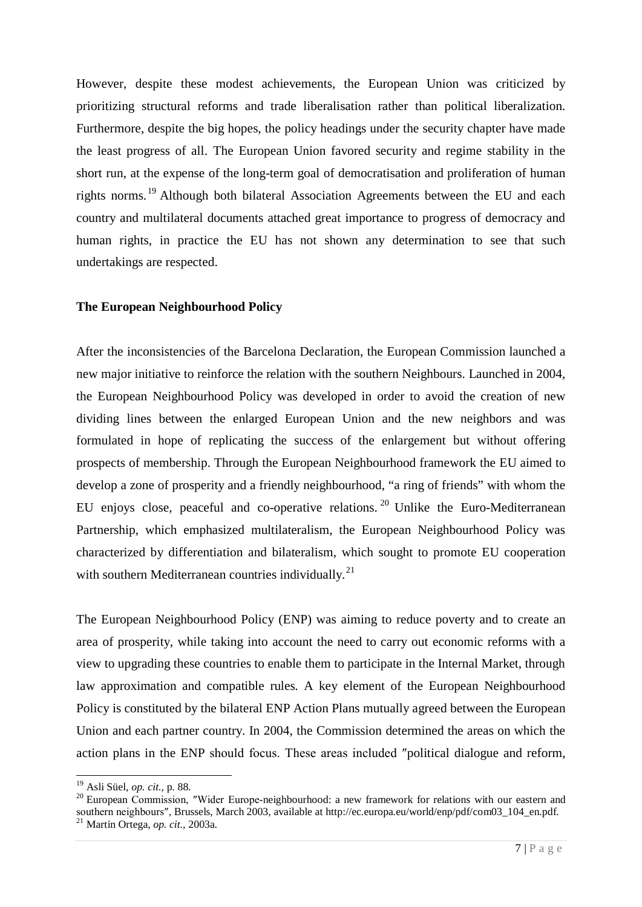However, despite these modest achievements, the European Union was criticized by prioritizing structural reforms and trade liberalisation rather than political liberalization. Furthermore, despite the big hopes, the policy headings under the security chapter have made the least progress of all. The European Union favored security and regime stability in the short run, at the expense of the long-term goal of democratisation and proliferation of human rights norms.<sup>[19](#page-5-2)</sup> Although both bilateral Association Agreements between the EU and each country and multilateral documents attached great importance to progress of democracy and human rights, in practice the EU has not shown any determination to see that such undertakings are respected.

### **The European Neighbourhood Policy**

After the inconsistencies of the Barcelona Declaration, the European Commission launched a new major initiative to reinforce the relation with the southern Neighbours. Launched in 2004, the European Neighbourhood Policy was developed in order to avoid the creation of new dividing lines between the enlarged European Union and the new neighbors and was formulated in hope of replicating the success of the enlargement but without offering prospects of membership. Through the European Neighbourhood framework the EU aimed to develop a zone of prosperity and a friendly neighbourhood, "a ring of friends" with whom the EU enjoys close, peaceful and co-operative relations.<sup>[20](#page-6-0)</sup> Unlike the Euro-Mediterranean Partnership, which emphasized multilateralism, the European Neighbourhood Policy was characterized by differentiation and bilateralism, which sought to promote EU cooperation with southern Mediterranean countries individually.<sup>[21](#page-6-1)</sup>

The European Neighbourhood Policy (ENP) was aiming to reduce poverty and to create an area of prosperity, while taking into account the need to carry out economic reforms with a view to upgrading these countries to enable them to participate in the Internal Market, through law approximation and compatible rules. A key element of the European Neighbourhood Policy is constituted by the bilateral ENP Action Plans mutually agreed between the European Union and each partner country. In 2004, the Commission determined the areas on which the action plans in the ENP should focus. These areas included ″political dialogue and reform,

<span id="page-6-2"></span> <sup>19</sup> Asli Süel, *op. cit.,* p. 88.

<span id="page-6-1"></span><span id="page-6-0"></span><sup>&</sup>lt;sup>20</sup> European Commission, "Wider Europe-neighbourhood: a new framework for relations with our eastern and southern neighbours″, Brussels, March 2003, available at [http://ec.europa.eu/world/enp/pdf/com03\\_104\\_en.pdf.](http://ec.europa.eu/world/enp/pdf/com03_104_en.pdf) <sup>21</sup> Martin Ortega, *op. cit.,* 2003a.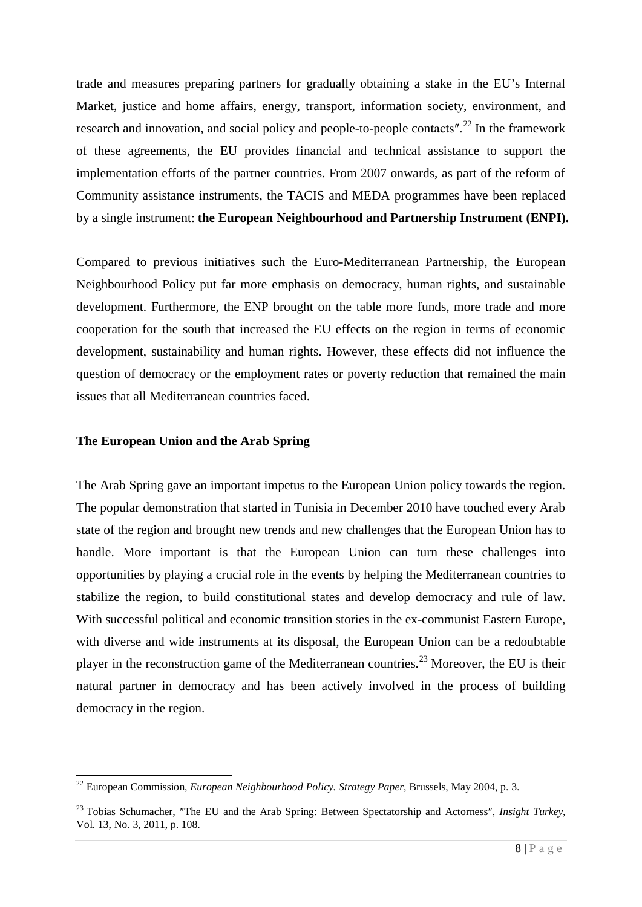trade and measures preparing partners for gradually obtaining a stake in the EU's Internal Market, justice and home affairs, energy, transport, information society, environment, and research and innovation, and social policy and people-to-people contacts".<sup>[22](#page-6-2)</sup> In the framework of these agreements, the EU provides financial and technical assistance to support the implementation efforts of the partner countries. From 2007 onwards, as part of the reform of Community assistance instruments, the TACIS and MEDA programmes have been replaced by a single instrument: **the European Neighbourhood and Partnership Instrument (ENPI).**

Compared to previous initiatives such the Euro-Mediterranean Partnership, the European Neighbourhood Policy put far more emphasis on democracy, human rights, and sustainable development. Furthermore, the ENP brought on the table more funds, more trade and more cooperation for the south that increased the EU effects on the region in terms of economic development, sustainability and human rights. However, these effects did not influence the question of democracy or the employment rates or poverty reduction that remained the main issues that all Mediterranean countries faced.

## **The European Union and the Arab Spring**

The Arab Spring gave an important impetus to the European Union policy towards the region. The popular demonstration that started in Tunisia in December 2010 have touched every Arab state of the region and brought new trends and new challenges that the European Union has to handle. More important is that the European Union can turn these challenges into opportunities by playing a crucial role in the events by helping the Mediterranean countries to stabilize the region, to build constitutional states and develop democracy and rule of law. With successful political and economic transition stories in the ex-communist Eastern Europe, with diverse and wide instruments at its disposal, the European Union can be a redoubtable player in the reconstruction game of the Mediterranean countries.<sup>[23](#page-7-0)</sup> Moreover, the EU is their natural partner in democracy and has been actively involved in the process of building democracy in the region.

<span id="page-7-1"></span> <sup>22</sup> European Commission, *European Neighbourhood Policy. Strategy Paper,* Brussels, May 2004, p. 3.

<span id="page-7-0"></span><sup>23</sup> Tobias Schumacher, ″The EU and the Arab Spring: Between Spectatorship and Actorness″, *Insight Turkey,*  Vol. 13, No. 3, 2011, p. 108.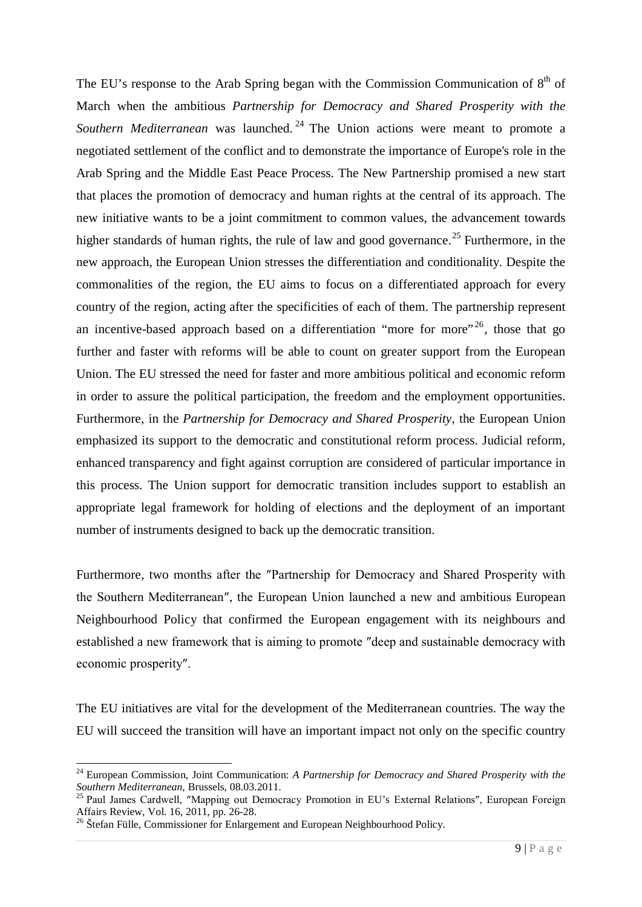The EU's response to the Arab Spring began with the Commission Communication of  $8<sup>th</sup>$  of March when the ambitious *Partnership for Democracy and Shared Prosperity with the*  Southern Mediterranean was launched.<sup>[24](#page-7-1)</sup> The Union actions were meant to promote a negotiated settlement of the conflict and to demonstrate the importance of Europe's role in the Arab Spring and the Middle East Peace Process. The New Partnership promised a new start that places the promotion of democracy and human rights at the central of its approach. The new initiative wants to be a joint commitment to common values, the advancement towards higher standards of human rights, the rule of law and good governance.<sup>[25](#page-8-0)</sup> Furthermore, in the new approach, the European Union stresses the differentiation and conditionality. Despite the commonalities of the region, the EU aims to focus on a differentiated approach for every country of the region, acting after the specificities of each of them. The partnership represent an incentive-based approach based on a differentiation "more for more"  $^{26}$  $^{26}$  $^{26}$ , those that go further and faster with reforms will be able to count on greater support from the European Union. The EU stressed the need for faster and more ambitious political and economic reform in order to assure the political participation, the freedom and the employment opportunities. Furthermore, in the *Partnership for Democracy and Shared Prosperity*, the European Union emphasized its support to the democratic and constitutional reform process. Judicial reform, enhanced transparency and fight against corruption are considered of particular importance in this process. The Union support for democratic transition includes support to establish an appropriate legal framework for holding of elections and the deployment of an important number of instruments designed to back up the democratic transition.

Furthermore, two months after the ″Partnership for Democracy and Shared Prosperity with the Southern Mediterranean″, the European Union launched a new and ambitious European Neighbourhood Policy that confirmed the European engagement with its neighbours and established a new framework that is aiming to promote ″deep and sustainable democracy with economic prosperity″.

The EU initiatives are vital for the development of the Mediterranean countries. The way the EU will succeed the transition will have an important impact not only on the specific country

 <sup>24</sup> European Commission, Joint Communication: *A Partnership for Democracy and Shared Prosperity with the Southern Mediterranean*, Brussels, 08.03.2011.

<span id="page-8-0"></span><sup>&</sup>lt;sup>25</sup> Paul James Cardwell, "Mapping out Democracy Promotion in EU's External Relations", European Foreign Affairs Review, Vol. 16, 2011, pp. 26-28.

<span id="page-8-1"></span><sup>&</sup>lt;sup>26</sup> Štefan Fülle, Commissioner for Enlargement and European Neighbourhood Policy.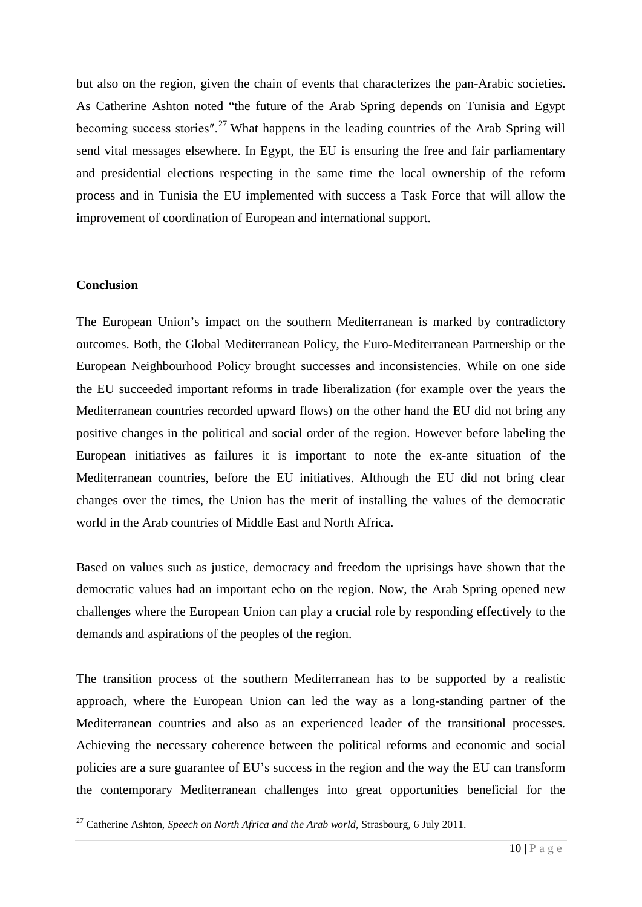but also on the region, given the chain of events that characterizes the pan-Arabic societies. As Catherine Ashton noted "the future of the Arab Spring depends on Tunisia and Egypt becoming success stories".<sup>[27](#page-8-1)</sup> What happens in the leading countries of the Arab Spring will send vital messages elsewhere. In Egypt, the EU is ensuring the free and fair parliamentary and presidential elections respecting in the same time the local ownership of the reform process and in Tunisia the EU implemented with success a Task Force that will allow the improvement of coordination of European and international support.

## **Conclusion**

The European Union's impact on the southern Mediterranean is marked by contradictory outcomes. Both, the Global Mediterranean Policy, the Euro-Mediterranean Partnership or the European Neighbourhood Policy brought successes and inconsistencies. While on one side the EU succeeded important reforms in trade liberalization (for example over the years the Mediterranean countries recorded upward flows) on the other hand the EU did not bring any positive changes in the political and social order of the region. However before labeling the European initiatives as failures it is important to note the ex-ante situation of the Mediterranean countries, before the EU initiatives. Although the EU did not bring clear changes over the times, the Union has the merit of installing the values of the democratic world in the Arab countries of Middle East and North Africa.

Based on values such as justice, democracy and freedom the uprisings have shown that the democratic values had an important echo on the region. Now, the Arab Spring opened new challenges where the European Union can play a crucial role by responding effectively to the demands and aspirations of the peoples of the region.

The transition process of the southern Mediterranean has to be supported by a realistic approach, where the European Union can led the way as a long-standing partner of the Mediterranean countries and also as an experienced leader of the transitional processes. Achieving the necessary coherence between the political reforms and economic and social policies are a sure guarantee of EU's success in the region and the way the EU can transform the contemporary Mediterranean challenges into great opportunities beneficial for the

 <sup>27</sup> Catherine Ashton, *Speech on North Africa and the Arab world,* Strasbourg, 6 July 2011.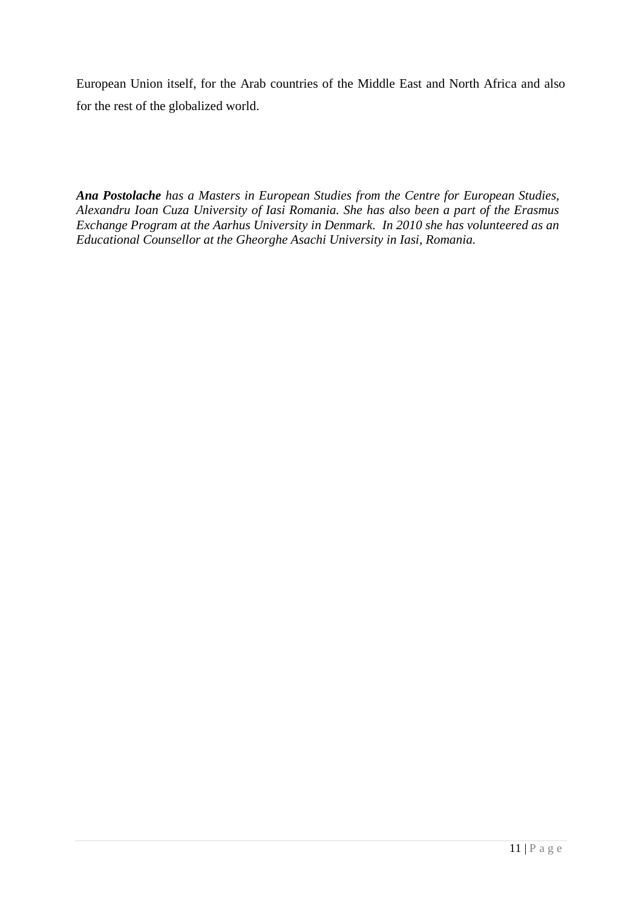European Union itself, for the Arab countries of the Middle East and North Africa and also for the rest of the globalized world.

*Ana Postolache has a Masters in European Studies from the Centre for European Studies, Alexandru Ioan Cuza University of Iasi Romania. She has also been a part of the Erasmus Exchange Program at the Aarhus University in Denmark. In 2010 she has volunteered as an Educational Counsellor at the Gheorghe Asachi University in Iasi, Romania.*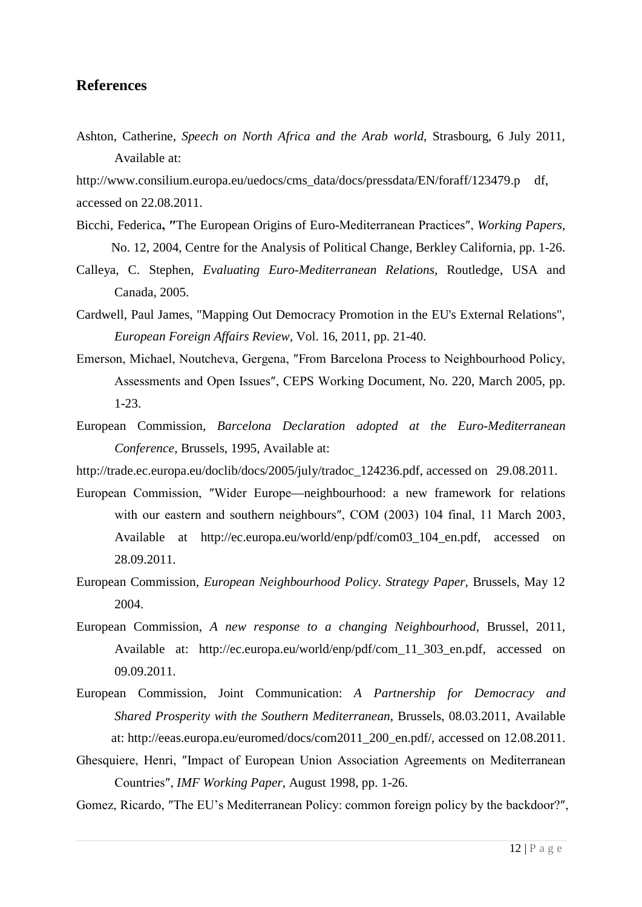# **References**

Ashton, Catherine, *Speech on North Africa and the Arab world*, Strasbourg, 6 July 2011, Available at:

[http://www.consilium.europa.eu/uedocs/cms\\_data/docs/pressdata/EN/foraff/123479.p](http://www.consilium.europa.eu/uedocs/cms_data/docs/pressdata/EN/foraff/123479.p%09df) df, accessed on 22.08.2011.

- Bicchi, Federica**, ″**The European Origins of Euro-Mediterranean Practices″, *Working Papers,* No. 12, 2004, Centre for the Analysis of Political Change, Berkley California, pp. 1-26.
- Calleya, C. Stephen, *Evaluating Euro-Mediterranean Relations*, Routledge, USA and Canada, 2005.
- Cardwell, Paul James, "Mapping Out Democracy Promotion in the EU's External Relations", *European Foreign Affairs Review,* Vol. 16, 2011, pp. 21-40.
- Emerson, Michael, Noutcheva, Gergena, ″From Barcelona Process to Neighbourhood Policy, Assessments and Open Issues″, CEPS Working Document, No. 220, March 2005, pp. 1-23.
- European Commission, *Barcelona Declaration adopted at the Euro-Mediterranean Conference*, Brussels, 1995, Available at:
- [http://trade.ec.europa.eu/doclib/docs/2005/july/tradoc\\_124236.pdf,](http://trade.ec.europa.eu/doclib/docs/2005/july/tradoc_124236.pdf) accessed on 29.08.2011.
- European Commission, ″Wider Europe—neighbourhood: a new framework for relations with our eastern and southern neighbours", COM (2003) 104 final, 11 March 2003, Available at [http://ec.europa.eu/world/enp/pdf/com03\\_104\\_en.pdf,](http://ec.europa.eu/world/enp/pdf/com03_104_en.pdf) accessed on 28.09.2011.
- European Commission, *European Neighbourhood Policy. Strategy Paper,* Brussels, May 12 2004.
- European Commission, *A new response to a changing Neighbourhood,* Brussel, 2011, Available at: [http://ec.europa.eu/world/enp/pdf/com\\_11\\_303\\_en.pdf,](http://ec.europa.eu/world/enp/pdf/com_11_303_en.pdf) accessed on 09.09.2011.
- European Commission, Joint Communication: *A Partnership for Democracy and Shared Prosperity with the Southern Mediterranean*, Brussels, 08.03.2011, Available at: [http://eeas.europa.eu/euromed/docs/com2011\\_200\\_en.pdf/,](http://eeas.europa.eu/euromed/docs/com2011_200_en.pdf/) accessed on 12.08.2011.
- Ghesquiere, Henri, ″Impact of European Union Association Agreements on Mediterranean Countries″, *IMF Working Paper,* August 1998, pp. 1-26.
- Gomez, Ricardo, ″The EU's Mediterranean Policy: common foreign policy by the backdoor?″,